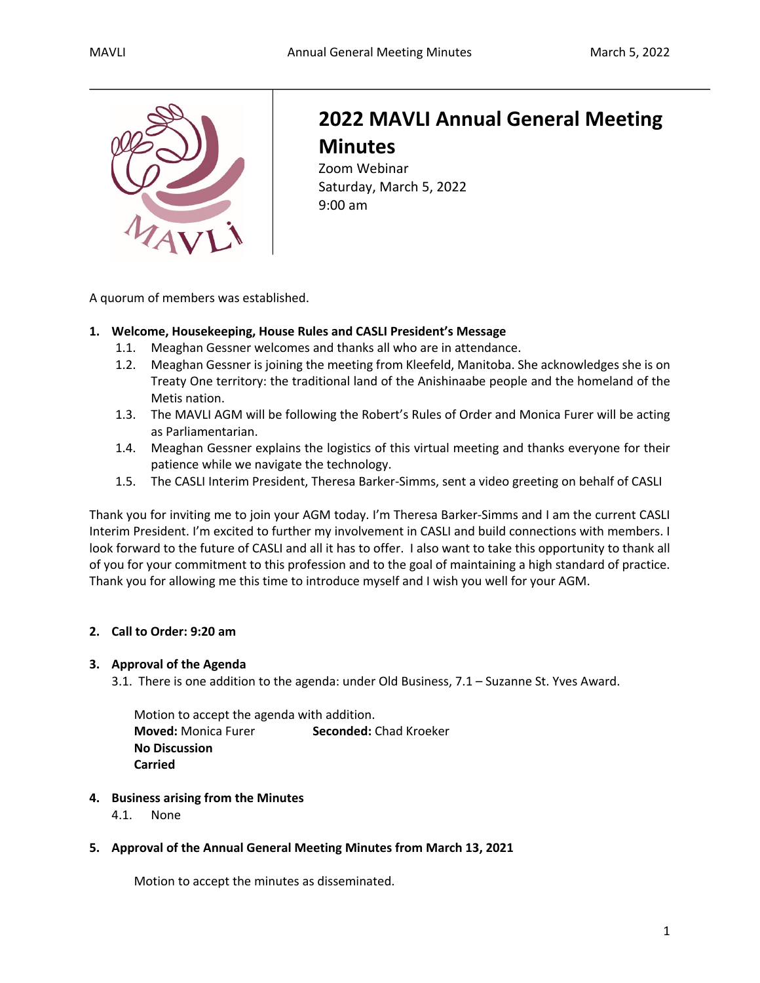

# **2022 MAVLI Annual General Meeting Minutes**

Zoom Webinar Saturday, March 5, 2022 9:00 am

A quorum of members was established.

# **1. Welcome, Housekeeping, House Rules and CASLI President's Message**

- 1.1. Meaghan Gessner welcomes and thanks all who are in attendance.
- 1.2. Meaghan Gessner is joining the meeting from Kleefeld, Manitoba. She acknowledges she is on Treaty One territory: the traditional land of the Anishinaabe people and the homeland of the Metis nation.
- 1.3. The MAVLI AGM will be following the Robert's Rules of Order and Monica Furer will be acting as Parliamentarian.
- 1.4. Meaghan Gessner explains the logistics of this virtual meeting and thanks everyone for their patience while we navigate the technology.
- 1.5. The CASLI Interim President, Theresa Barker-Simms, sent a video greeting on behalf of CASLI

Thank you for inviting me to join your AGM today. I'm Theresa Barker-Simms and I am the current CASLI Interim President. I'm excited to further my involvement in CASLI and build connections with members. I look forward to the future of CASLI and all it has to offer. I also want to take this opportunity to thank all of you for your commitment to this profession and to the goal of maintaining a high standard of practice. Thank you for allowing me this time to introduce myself and I wish you well for your AGM.

# **2. Call to Order: 9:20 am**

# **3. Approval of the Agenda**

3.1. There is one addition to the agenda: under Old Business, 7.1 – Suzanne St. Yves Award.

Motion to accept the agenda with addition. **Moved:** Monica Furer **Seconded:** Chad Kroeker **No Discussion Carried**

# **4. Business arising from the Minutes**

4.1. None

### **5. Approval of the Annual General Meeting Minutes from March 13, 2021**

Motion to accept the minutes as disseminated.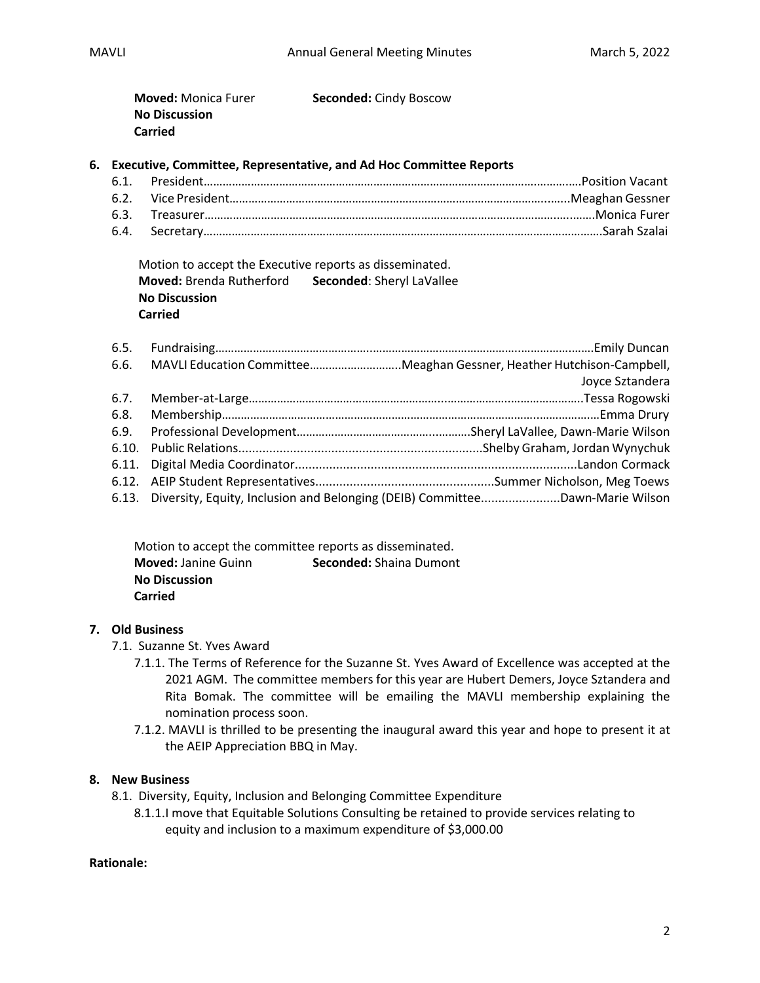| <b>Moved:</b> Monica Furer | <b>Seconded: Cindy Boscow</b> |
|----------------------------|-------------------------------|
| <b>No Discussion</b>       |                               |
| <b>Carried</b>             |                               |

### **6. Executive, Committee, Representative, and Ad Hoc Committee Reports**

Motion to accept the Executive reports as disseminated. **Moved:** Brenda Rutherford **Seconded**: Sheryl LaVallee **No Discussion Carried**

|  | 6.6. MAVLI Education CommitteeMeaghan Gessner, Heather Hutchison-Campbell,         |
|--|------------------------------------------------------------------------------------|
|  | Joyce Sztandera                                                                    |
|  |                                                                                    |
|  |                                                                                    |
|  |                                                                                    |
|  |                                                                                    |
|  |                                                                                    |
|  |                                                                                    |
|  | 6.13. Diversity, Equity, Inclusion and Belonging (DEIB) CommitteeDawn-Marie Wilson |

| Motion to accept the committee reports as disseminated. |                                |  |
|---------------------------------------------------------|--------------------------------|--|
| <b>Moved: Janine Guinn</b>                              | <b>Seconded:</b> Shaina Dumont |  |
| <b>No Discussion</b>                                    |                                |  |
| <b>Carried</b>                                          |                                |  |

### **7. Old Business**

- 7.1. Suzanne St. Yves Award
	- 7.1.1. The Terms of Reference for the Suzanne St. Yves Award of Excellence was accepted at the 2021 AGM. The committee members for this year are Hubert Demers, Joyce Sztandera and Rita Bomak. The committee will be emailing the MAVLI membership explaining the nomination process soon.
	- 7.1.2. MAVLI is thrilled to be presenting the inaugural award this year and hope to present it at the AEIP Appreciation BBQ in May.

### **8. New Business**

- 8.1. Diversity, Equity, Inclusion and Belonging Committee Expenditure
	- 8.1.1.I move that Equitable Solutions Consulting be retained to provide services relating to equity and inclusion to a maximum expenditure of \$3,000.00

### **Rationale:**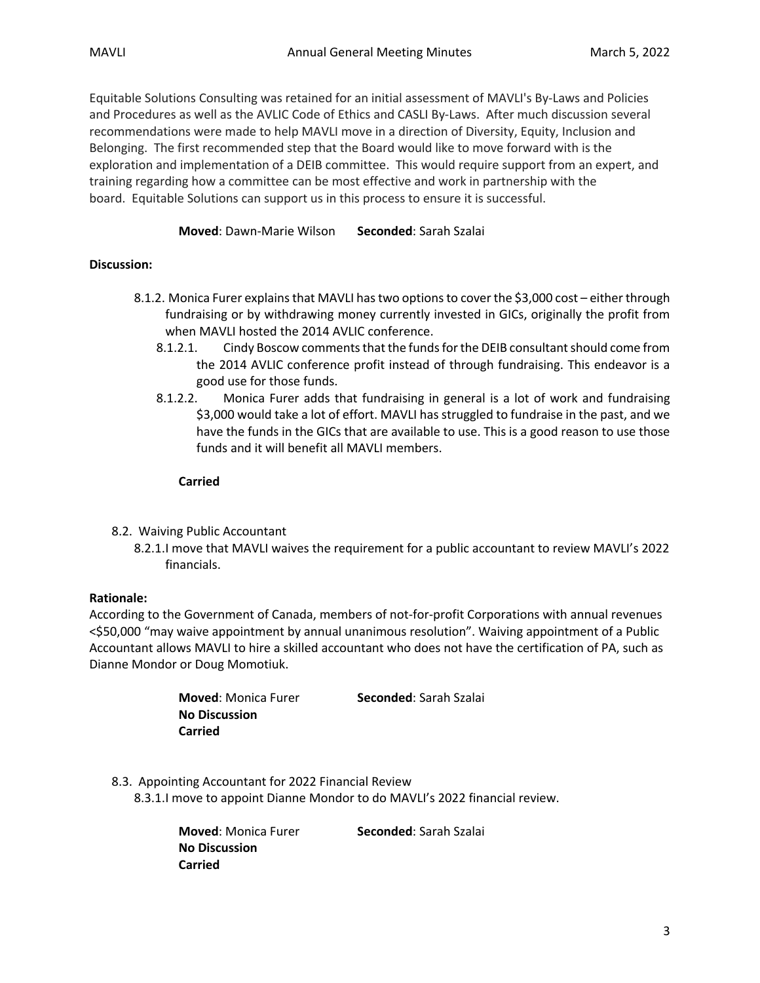Equitable Solutions Consulting was retained for an initial assessment of MAVLI's By-Laws and Policies and Procedures as well as the AVLIC Code of Ethics and CASLI By-Laws. After much discussion several recommendations were made to help MAVLI move in a direction of Diversity, Equity, Inclusion and Belonging. The first recommended step that the Board would like to move forward with is the exploration and implementation of a DEIB committee. This would require support from an expert, and training regarding how a committee can be most effective and work in partnership with the board. Equitable Solutions can support us in this process to ensure it is successful.

### **Moved**: Dawn-Marie Wilson **Seconded**: Sarah Szalai

# **Discussion:**

- 8.1.2. Monica Furer explains that MAVLI has two options to cover the \$3,000 cost either through fundraising or by withdrawing money currently invested in GICs, originally the profit from when MAVLI hosted the 2014 AVLIC conference.
	- 8.1.2.1. Cindy Boscow comments that the funds for the DEIB consultant should come from the 2014 AVLIC conference profit instead of through fundraising. This endeavor is a good use for those funds.
	- 8.1.2.2. Monica Furer adds that fundraising in general is a lot of work and fundraising \$3,000 would take a lot of effort. MAVLI has struggled to fundraise in the past, and we have the funds in the GICs that are available to use. This is a good reason to use those funds and it will benefit all MAVLI members.

### **Carried**

- 8.2. Waiving Public Accountant
	- 8.2.1.I move that MAVLI waives the requirement for a public accountant to review MAVLI's 2022 financials.

# **Rationale:**

According to the Government of Canada, members of not-for-profit Corporations with annual revenues <\$50,000 "may waive appointment by annual unanimous resolution". Waiving appointment of a Public Accountant allows MAVLI to hire a skilled accountant who does not have the certification of PA, such as Dianne Mondor or Doug Momotiuk.

| <b>Moved:</b> Monica Furer | Seconded: Sarah Szalai |
|----------------------------|------------------------|
| <b>No Discussion</b>       |                        |
| Carried                    |                        |

8.3. Appointing Accountant for 2022 Financial Review 8.3.1.I move to appoint Dianne Mondor to do MAVLI's 2022 financial review.

> **Moved**: Monica Furer **Seconded**: Sarah Szalai **No Discussion Carried**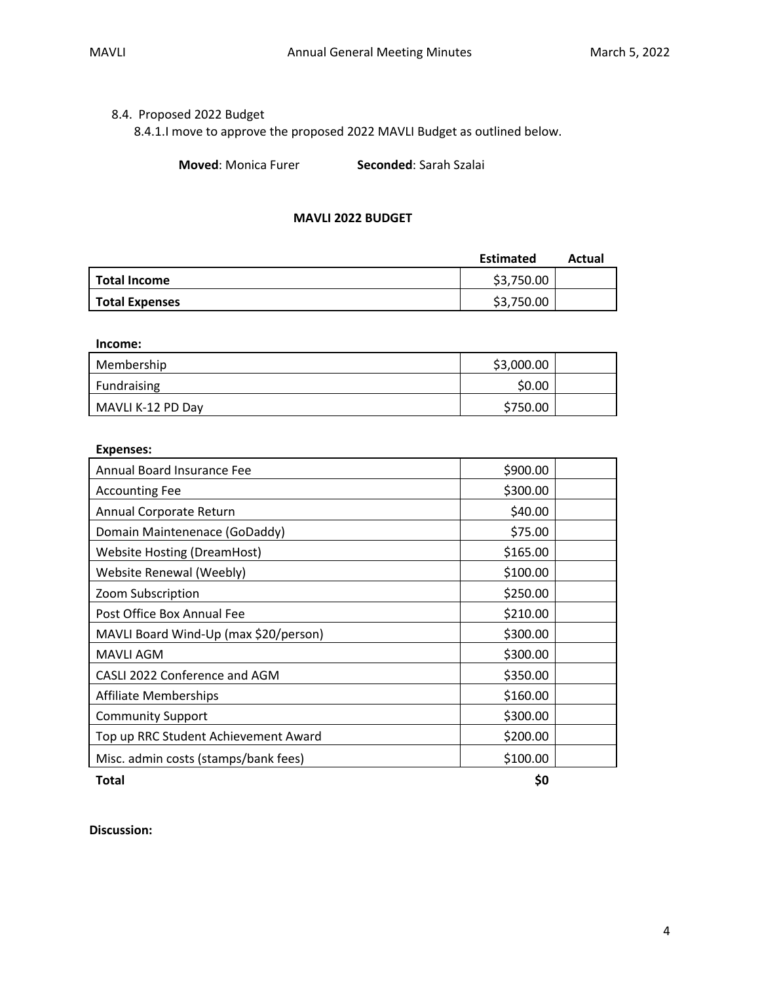# 8.4. Proposed 2022 Budget

8.4.1.I move to approve the proposed 2022 MAVLI Budget as outlined below.

**Moved**: Monica Furer **Seconded**: Sarah Szalai

### **MAVLI 2022 BUDGET**

|                       | <b>Estimated</b> | Actual |
|-----------------------|------------------|--------|
| <b>Total Income</b>   | \$3,750.00       |        |
| <b>Total Expenses</b> | \$3,750.00       |        |

#### **Income:**

| Membership        | \$3,000.00 |  |
|-------------------|------------|--|
| Fundraising       | \$0.00     |  |
| MAVLI K-12 PD Day | \$750.00   |  |

### **Expenses:**

| Annual Board Insurance Fee            | \$900.00 |  |
|---------------------------------------|----------|--|
| <b>Accounting Fee</b>                 | \$300.00 |  |
| Annual Corporate Return               | \$40.00  |  |
| Domain Maintenenace (GoDaddy)         | \$75.00  |  |
| <b>Website Hosting (DreamHost)</b>    | \$165.00 |  |
| Website Renewal (Weebly)              | \$100.00 |  |
| Zoom Subscription                     | \$250.00 |  |
| Post Office Box Annual Fee            | \$210.00 |  |
| MAVLI Board Wind-Up (max \$20/person) | \$300.00 |  |
| <b>MAVLI AGM</b>                      | \$300.00 |  |
| CASLI 2022 Conference and AGM         | \$350.00 |  |
| <b>Affiliate Memberships</b>          | \$160.00 |  |
| <b>Community Support</b>              | \$300.00 |  |
| Top up RRC Student Achievement Award  | \$200.00 |  |
| Misc. admin costs (stamps/bank fees)  | \$100.00 |  |

**Total \$0**

**Discussion:**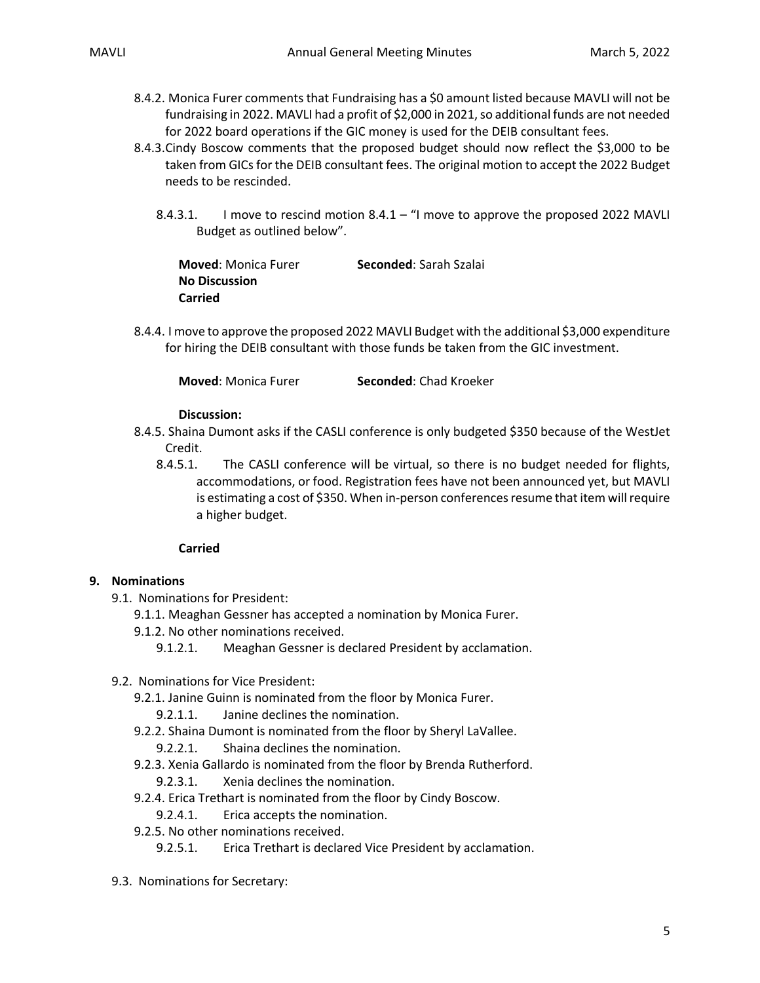- 8.4.2. Monica Furer comments that Fundraising has a \$0 amount listed because MAVLI will not be fundraising in 2022. MAVLI had a profit of \$2,000 in 2021, so additional funds are not needed for 2022 board operations if the GIC money is used for the DEIB consultant fees.
- 8.4.3.Cindy Boscow comments that the proposed budget should now reflect the \$3,000 to be taken from GICs for the DEIB consultant fees. The original motion to accept the 2022 Budget needs to be rescinded.
	- 8.4.3.1. I move to rescind motion 8.4.1 "I move to approve the proposed 2022 MAVLI Budget as outlined below".

**Moved**: Monica Furer **Seconded**: Sarah Szalai **No Discussion Carried**

8.4.4. I move to approve the proposed 2022 MAVLI Budget with the additional \$3,000 expenditure for hiring the DEIB consultant with those funds be taken from the GIC investment.

**Moved**: Monica Furer **Seconded**: Chad Kroeker

### **Discussion:**

- 8.4.5. Shaina Dumont asks if the CASLI conference is only budgeted \$350 because of the WestJet Credit.
	- 8.4.5.1. The CASLI conference will be virtual, so there is no budget needed for flights, accommodations, or food. Registration fees have not been announced yet, but MAVLI is estimating a cost of \$350. When in-person conferences resume that item will require a higher budget.

### **Carried**

# **9. Nominations**

- 9.1. Nominations for President:
	- 9.1.1. Meaghan Gessner has accepted a nomination by Monica Furer.
	- 9.1.2. No other nominations received.
		- 9.1.2.1. Meaghan Gessner is declared President by acclamation.
- 9.2. Nominations for Vice President:
	- 9.2.1. Janine Guinn is nominated from the floor by Monica Furer.
		- 9.2.1.1. Janine declines the nomination.
	- 9.2.2. Shaina Dumont is nominated from the floor by Sheryl LaVallee.
		- 9.2.2.1. Shaina declines the nomination.
	- 9.2.3. Xenia Gallardo is nominated from the floor by Brenda Rutherford.
		- 9.2.3.1. Xenia declines the nomination.
	- 9.2.4. Erica Trethart is nominated from the floor by Cindy Boscow.
		- 9.2.4.1. Erica accepts the nomination.
	- 9.2.5. No other nominations received.
		- 9.2.5.1. Erica Trethart is declared Vice President by acclamation.
- 9.3. Nominations for Secretary: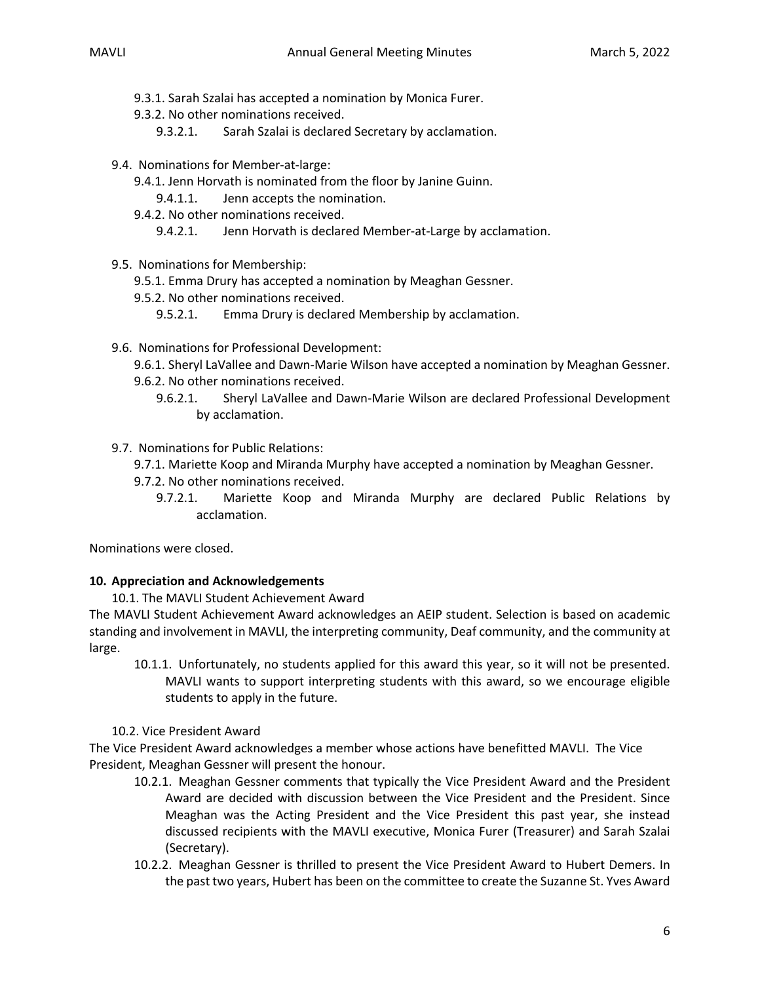- 9.3.1. Sarah Szalai has accepted a nomination by Monica Furer.
- 9.3.2. No other nominations received.
	- 9.3.2.1. Sarah Szalai is declared Secretary by acclamation.
- 9.4. Nominations for Member-at-large:
	- 9.4.1. Jenn Horvath is nominated from the floor by Janine Guinn.
		- 9.4.1.1. Jenn accepts the nomination.
	- 9.4.2. No other nominations received.
		- 9.4.2.1. Jenn Horvath is declared Member-at-Large by acclamation.
- 9.5. Nominations for Membership:
	- 9.5.1. Emma Drury has accepted a nomination by Meaghan Gessner.
	- 9.5.2. No other nominations received.
		- 9.5.2.1. Emma Drury is declared Membership by acclamation.
- 9.6. Nominations for Professional Development:
	- 9.6.1. Sheryl LaVallee and Dawn-Marie Wilson have accepted a nomination by Meaghan Gessner.
	- 9.6.2. No other nominations received.
		- 9.6.2.1. Sheryl LaVallee and Dawn-Marie Wilson are declared Professional Development by acclamation.
- 9.7. Nominations for Public Relations:
	- 9.7.1. Mariette Koop and Miranda Murphy have accepted a nomination by Meaghan Gessner.
	- 9.7.2. No other nominations received.
		- 9.7.2.1. Mariette Koop and Miranda Murphy are declared Public Relations by acclamation.

Nominations were closed.

# **10. Appreciation and Acknowledgements**

10.1. The MAVLI Student Achievement Award

The MAVLI Student Achievement Award acknowledges an AEIP student. Selection is based on academic standing and involvement in MAVLI, the interpreting community, Deaf community, and the community at large.

10.1.1. Unfortunately, no students applied for this award this year, so it will not be presented. MAVLI wants to support interpreting students with this award, so we encourage eligible students to apply in the future.

### 10.2. Vice President Award

The Vice President Award acknowledges a member whose actions have benefitted MAVLI. The Vice President, Meaghan Gessner will present the honour.

- 10.2.1. Meaghan Gessner comments that typically the Vice President Award and the President Award are decided with discussion between the Vice President and the President. Since Meaghan was the Acting President and the Vice President this past year, she instead discussed recipients with the MAVLI executive, Monica Furer (Treasurer) and Sarah Szalai (Secretary).
- 10.2.2. Meaghan Gessner is thrilled to present the Vice President Award to Hubert Demers. In the past two years, Hubert has been on the committee to create the Suzanne St. Yves Award